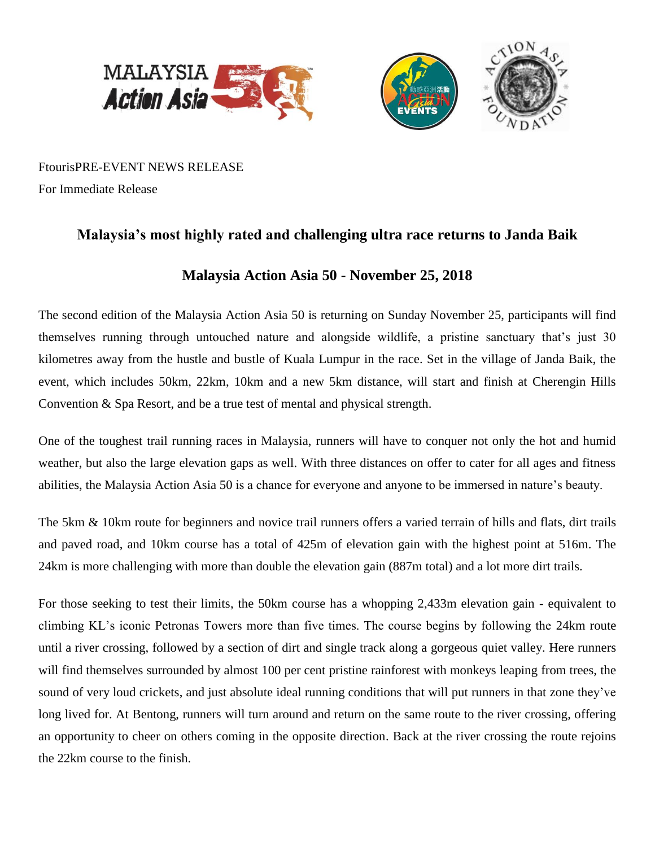

FtourisPRE-EVENT NEWS RELEASE For Immediate Release

## **Malaysia's most highly rated and challenging ultra race returns to Janda Baik**

# **Malaysia Action Asia 50 - November 25, 2018**

The second edition of the Malaysia Action Asia 50 is returning on Sunday November 25, participants will find themselves running through untouched nature and alongside wildlife, a pristine sanctuary that's just 30 kilometres away from the hustle and bustle of Kuala Lumpur in the race. Set in the village of Janda Baik, the event, which includes 50km, 22km, 10km and a new 5km distance, will start and finish at Cherengin Hills Convention & Spa Resort, and be a true test of mental and physical strength.

One of the toughest trail running races in Malaysia, runners will have to conquer not only the hot and humid weather, but also the large elevation gaps as well. With three distances on offer to cater for all ages and fitness abilities, the Malaysia Action Asia 50 is a chance for everyone and anyone to be immersed in nature's beauty.

The 5km & 10km route for beginners and novice trail runners offers a varied terrain of hills and flats, dirt trails and paved road, and 10km course has a total of 425m of elevation gain with the highest point at 516m. The 24km is more challenging with more than double the elevation gain (887m total) and a lot more dirt trails.

For those seeking to test their limits, the 50km course has a whopping 2,433m elevation gain - equivalent to climbing KL's iconic Petronas Towers more than five times. The course begins by following the 24km route until a river crossing, followed by a section of dirt and single track along a gorgeous quiet valley. Here runners will find themselves surrounded by almost 100 per cent pristine rainforest with monkeys leaping from trees, the sound of very loud crickets, and just absolute ideal running conditions that will put runners in that zone they've long lived for. At Bentong, runners will turn around and return on the same route to the river crossing, offering an opportunity to cheer on others coming in the opposite direction. Back at the river crossing the route rejoins the 22km course to the finish.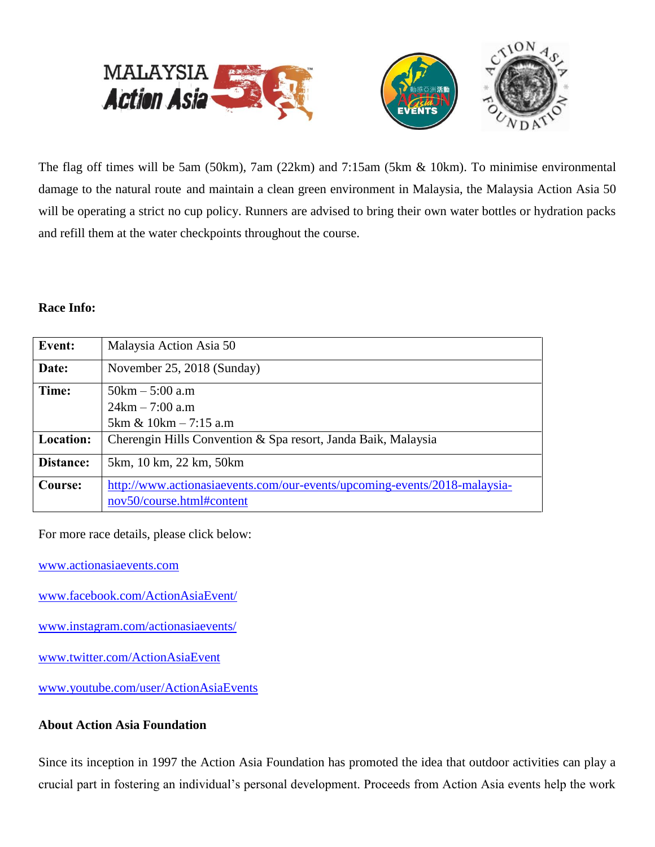

The flag off times will be 5am (50km), 7am (22km) and 7:15am (5km & 10km). To minimise environmental damage to the natural route and maintain a clean green environment in Malaysia, the Malaysia Action Asia 50 will be operating a strict no cup policy. Runners are advised to bring their own water bottles or hydration packs and refill them at the water checkpoints throughout the course.

#### **Race Info:**

| Event:    | Malaysia Action Asia 50                                                   |
|-----------|---------------------------------------------------------------------------|
| Date:     | November 25, 2018 (Sunday)                                                |
| Time:     | $50km - 5:00a.m$                                                          |
|           | $24km - 7:00 a.m$                                                         |
|           | $5km \& 10km - 7:15 a.m$                                                  |
| Location: | Cherengin Hills Convention & Spa resort, Janda Baik, Malaysia             |
| Distance: | 5km, 10 km, 22 km, 50 km                                                  |
| Course:   | http://www.actionasiaevents.com/our-events/upcoming-events/2018-malaysia- |
|           | nov50/course.html#content                                                 |

For more race details, please click below:

[www.actionasiaevents.com](http://www.actionasiaevents.com/)

[www.facebook.com/ActionAsiaEvent/](http://www.facebook.com/ActionAsiaEvent/)

- [www.instagram.com/actionasiaevents/](http://www.instagram.com/actionasiaevents/)
- [www.twitter.com/ActionAsiaEvent](http://www.twitter.com/ActionAsiaEvent)

[www.youtube.com/user/ActionAsiaEvents](http://www.youtube.com/user/ActionAsiaEvents) 

## **About Action Asia Foundation**

Since its inception in 1997 the Action Asia Foundation has promoted the idea that outdoor activities can play a crucial part in fostering an individual's personal development. Proceeds from Action Asia events help the work